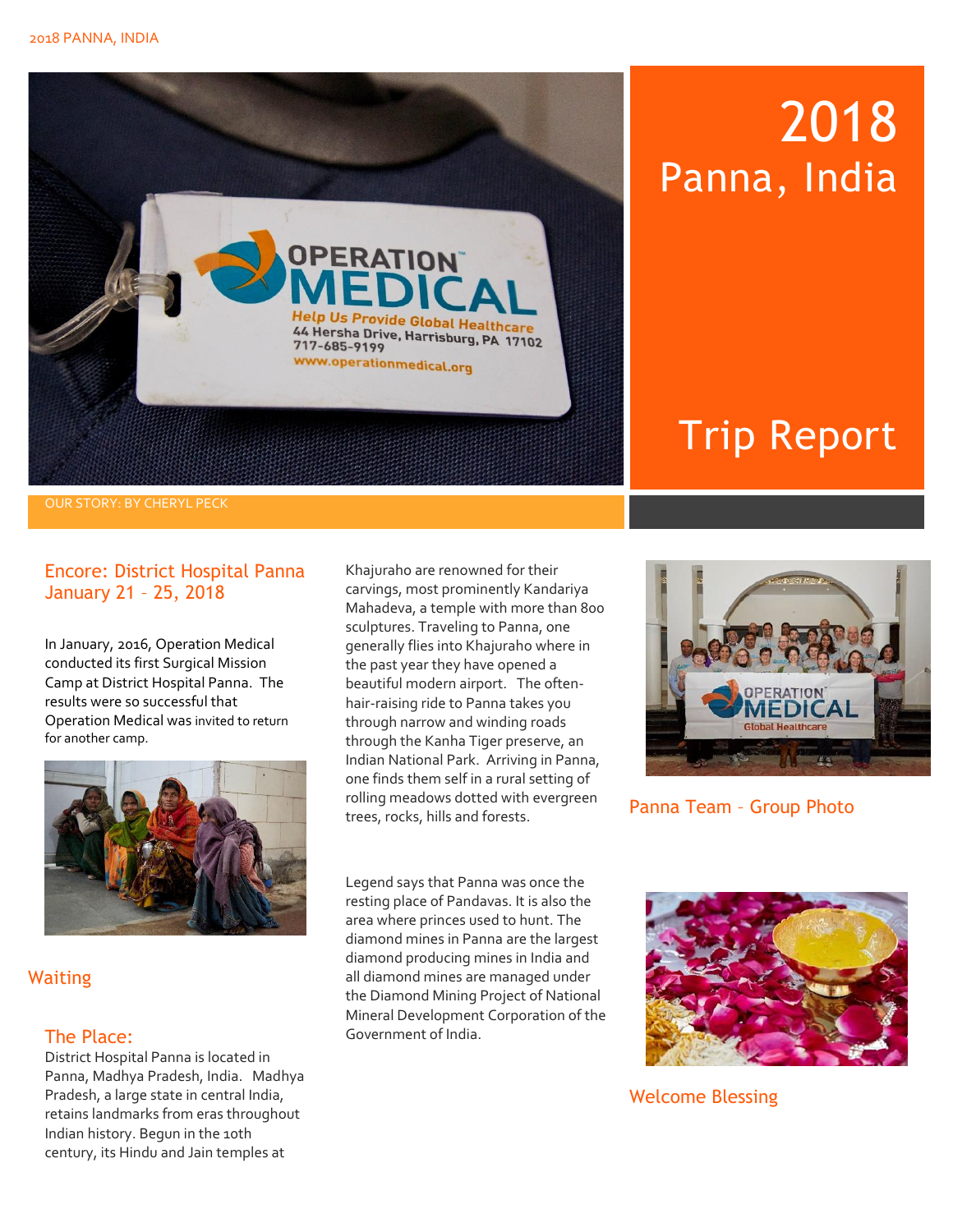

## 2018 Panna, India

### Trip Report

#### OUR STORY: BY CHERYL PECK

### Encore: District Hospital Panna January 21 – 25, 2018

In January, 2016, Operation Medical conducted its first Surgical Mission Camp at District Hospital Panna. The results were so successful that Operation Medical was invited to return for another camp.



**Waiting** 

### The Place:

District Hospital Panna is located in Panna, Madhya Pradesh, India. Madhya Pradesh, a large state in central India, retains landmarks from eras throughout Indian history. Begun in the 10th century, its Hindu and Jain temples at

Khajuraho are renowned for their carvings, most prominently Kandariya Mahadeva, a temple with more than 800 sculptures. Traveling to Panna, one generally flies into Khajuraho where in the past year they have opened a beautiful modern airport. The oftenhair-raising ride to Panna takes you through narrow and winding roads through the Kanha Tiger preserve, an Indian National Park. Arriving in Panna, one finds them self in a rural setting of rolling meadows dotted with evergreen trees, rocks, hills and forests.



Panna Team – Group Photo

Legend says that Panna was once the resting place of Pandavas. It is also the area where princes used to hunt. The diamond mines in Panna are the largest diamond producing mines in India and all diamond mines are managed under the Diamond Mining Project of National Mineral Development Corporation of the Government of India.



Welcome Blessing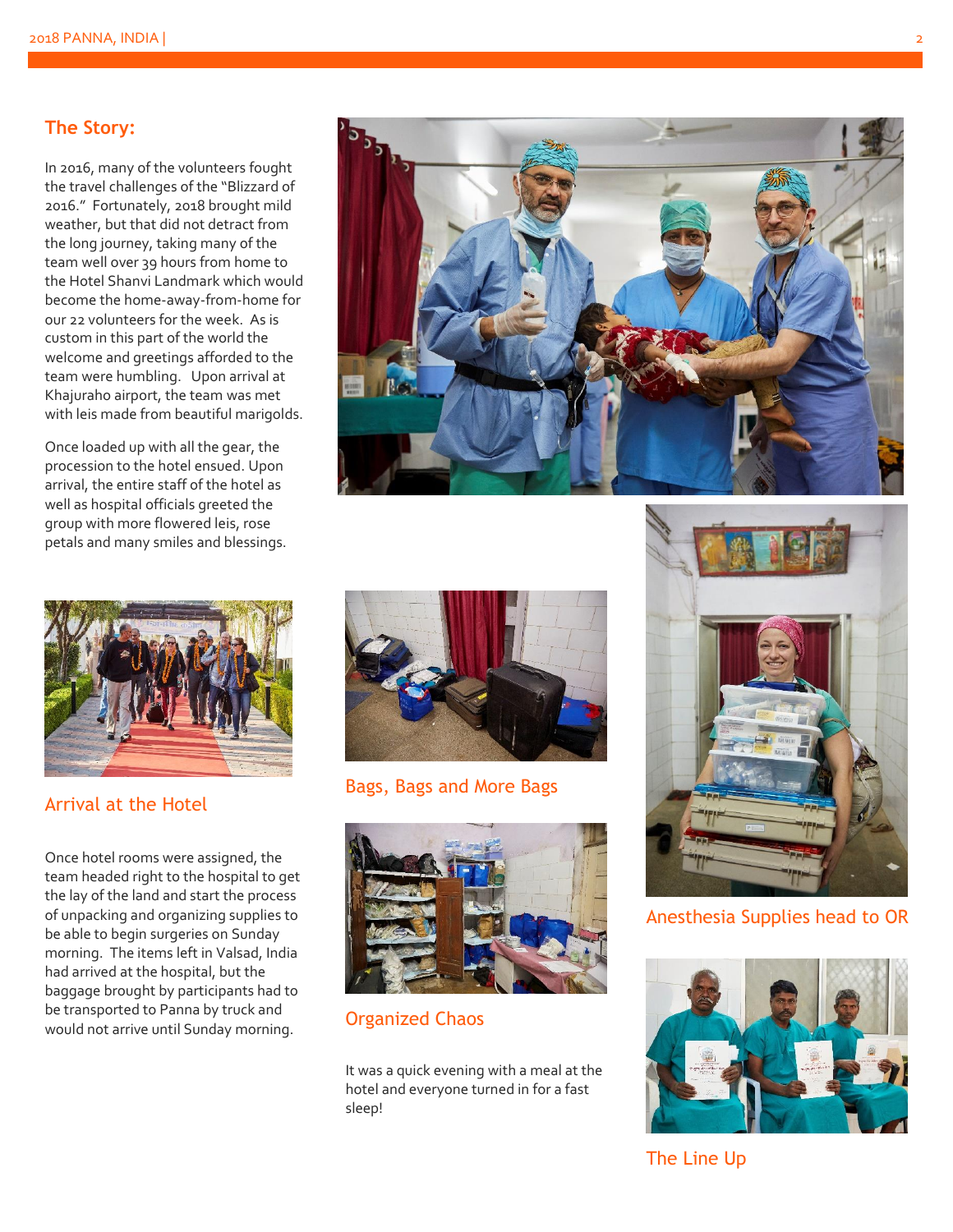### **The Story:**

In 2016, many of the volunteers fought the travel challenges of the "Blizzard of 2016." Fortunately, 2018 brought mild weather, but that did not detract from the long journey, taking many of the team well over 39 hours from home to the Hotel Shanvi Landmark which would become the home-away-from-home for our 22 volunteers for the week. As is custom in this part of the world the welcome and greetings afforded to the team were humbling. Upon arrival at Khajuraho airport, the team was met with leis made from beautiful marigolds.

Once loaded up with all the gear, the procession to the hotel ensued. Upon arrival, the entire staff of the hotel as well as hospital officials greeted the group with more flowered leis, rose petals and many smiles and blessings.



Arrival at the Hotel

Once hotel rooms were assigned, the team headed right to the hospital to get the lay of the land and start the process of unpacking and organizing supplies to be able to begin surgeries on Sunday morning. The items left in Valsad, India had arrived at the hospital, but the baggage brought by participants had to be transported to Panna by truck and would not arrive until Sunday morning.





Bags, Bags and More Bags



Organized Chaos

It was a quick evening with a meal at the hotel and everyone turned in for a fast sleep!



Anesthesia Supplies head to OR



The Line Up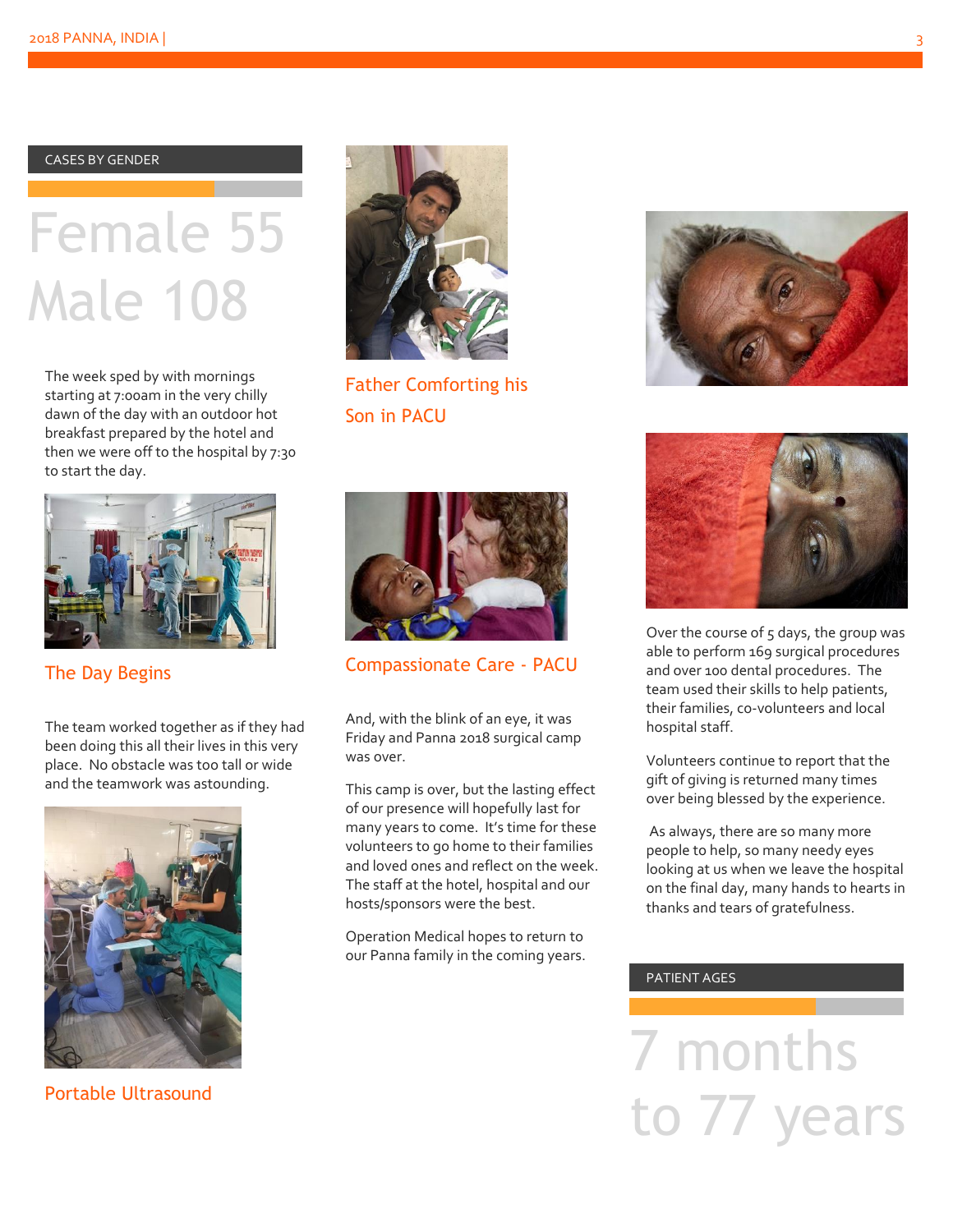CASES BY GENDER

# Female 55 Male 108

The week sped by with mornings starting at 7:00am in the very chilly dawn of the day with an outdoor hot breakfast prepared by the hotel and then we were off to the hospital by 7:30 to start the day.



The Day Begins

The team worked together as if they had been doing this all their lives in this very place. No obstacle was too tall or wide and the teamwork was astounding.



Portable Ultrasound



Father Comforting his Son in PACU



Compassionate Care - PACU

And, with the blink of an eye, it was Friday and Panna 2018 surgical camp was over.

This camp is over, but the lasting effect of our presence will hopefully last for many years to come. It's time for these volunteers to go home to their families and loved ones and reflect on the week. The staff at the hotel, hospital and our hosts/sponsors were the best.

Operation Medical hopes to return to our Panna family in the coming years.





Over the course of 5 days, the group was able to perform 169 surgical procedures and over 100 dental procedures. The team used their skills to help patients, their families, co-volunteers and local hospital staff.

Volunteers continue to report that the gift of giving is returned many times over being blessed by the experience.

As always, there are so many more people to help, so many needy eyes looking at us when we leave the hospital on the final day, many hands to hearts in thanks and tears of gratefulness.

### PATIENT AGES

7 months to 77 years